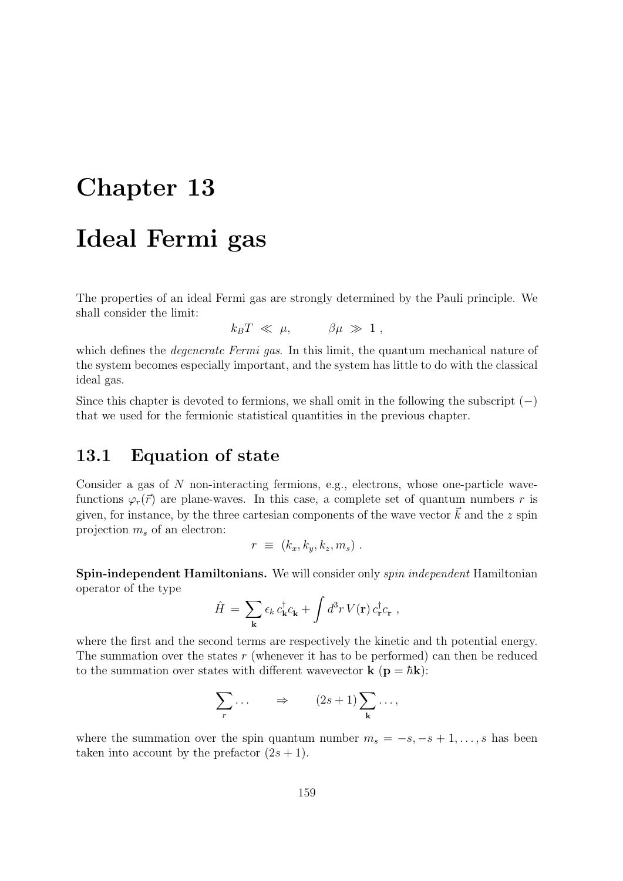# Chapter 13

# Ideal Fermi gas

The properties of an ideal Fermi gas are strongly determined by the Pauli principle. We shall consider the limit:

 $k_B T \ll \mu, \qquad \beta \mu \gg 1$ ,

which defines the *degenerate Fermi gas*. In this limit, the quantum mechanical nature of the system becomes especially important, and the system has little to do with the classical ideal gas.

Since this chapter is devoted to fermions, we shall omit in the following the subscript  $(-)$ that we used for the fermionic statistical quantities in the previous chapter.

## 13.1 Equation of state

Consider a gas of N non-interacting fermions, e.g., electrons, whose one-particle wavefunctions  $\varphi_r(\vec{r})$  are plane-waves. In this case, a complete set of quantum numbers r is given, for instance, by the three cartesian components of the wave vector  $\vec{k}$  and the z spin projection  $m_s$  of an electron:

$$
r \equiv (k_x, k_y, k_z, m_s) .
$$

Spin-independent Hamiltonians. We will consider only spin independent Hamiltonian operator of the type

$$
\hat{H} = \sum_{\mathbf{k}} \epsilon_k c_{\mathbf{k}}^{\dagger} c_{\mathbf{k}} + \int d^3 r \, V(\mathbf{r}) \, c_{\mathbf{r}}^{\dagger} c_{\mathbf{r}} \;,
$$

where the first and the second terms are respectively the kinetic and th potential energy. The summation over the states  $r$  (whenever it has to be performed) can then be reduced to the summation over states with different wavevector **k** ( $\mathbf{p} = \hbar \mathbf{k}$ ):

$$
\sum_{r} \ldots \qquad \Rightarrow \qquad (2s+1) \sum_{\mathbf{k}} \ldots,
$$

where the summation over the spin quantum number  $m_s = -s, -s + 1, \ldots, s$  has been taken into account by the prefactor  $(2s + 1)$ .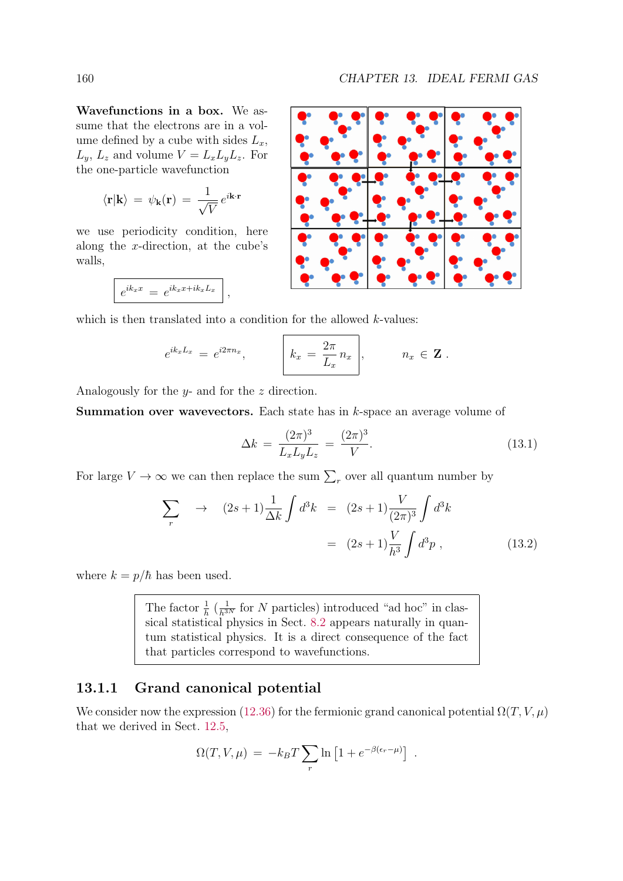Wavefunctions in a box. We assume that the electrons are in a volume defined by a cube with sides  $L_x$ ,  $L_y, L_z$  and volume  $V = L_x L_y L_z$ . For the one-particle wavefunction

$$
\langle \mathbf{r} | \mathbf{k} \rangle = \psi_{\mathbf{k}}(\mathbf{r}) = \frac{1}{\sqrt{V}} e^{i\mathbf{k} \cdot \mathbf{r}}
$$

we use periodicity condition, here along the x-direction, at the cube's walls,

$$
e^{ik_x x} = e^{ik_x x + ik_x L_x},
$$

which is then translated into a condition for the allowed  $k$ -values:

$$
e^{ik_xL_x} = e^{i2\pi n_x},
$$
  $k_x = \frac{2\pi}{L_x}n_x$ ,  $n_x \in \mathbf{Z}$ .

Analogously for the y- and for the z direction.

Summation over wavevectors. Each state has in k-space an average volume of

$$
\Delta k = \frac{(2\pi)^3}{L_x L_y L_z} = \frac{(2\pi)^3}{V}.
$$
\n(13.1)

For large  $V \to \infty$  we can then replace the sum  $\sum_{r}$  over all quantum number by

$$
\sum_{r} \rightarrow (2s+1)\frac{1}{\Delta k} \int d^3k = (2s+1)\frac{V}{(2\pi)^3} \int d^3k
$$
  
=  $(2s+1)\frac{V}{h^3} \int d^3p$ , (13.2)

where  $k = p/\hbar$  has been used.

The factor  $\frac{1}{h}$  ( $\frac{1}{h^{3N}}$  for N particles) introduced "ad hoc" in classical statistical physics in Sect. 8.2 appears naturally in quantum statistical physics. It is a direct consequence of the fact that particles correspond to wavefunctions.

### 13.1.1 Grand canonical potential

We consider now the expression (12.36) for the fermionic grand canonical potential  $\Omega(T, V, \mu)$ that we derived in Sect. 12.5,

$$
\Omega(T, V, \mu) = -k_B T \sum_r \ln \left[ 1 + e^{-\beta(\epsilon_r - \mu)} \right] .
$$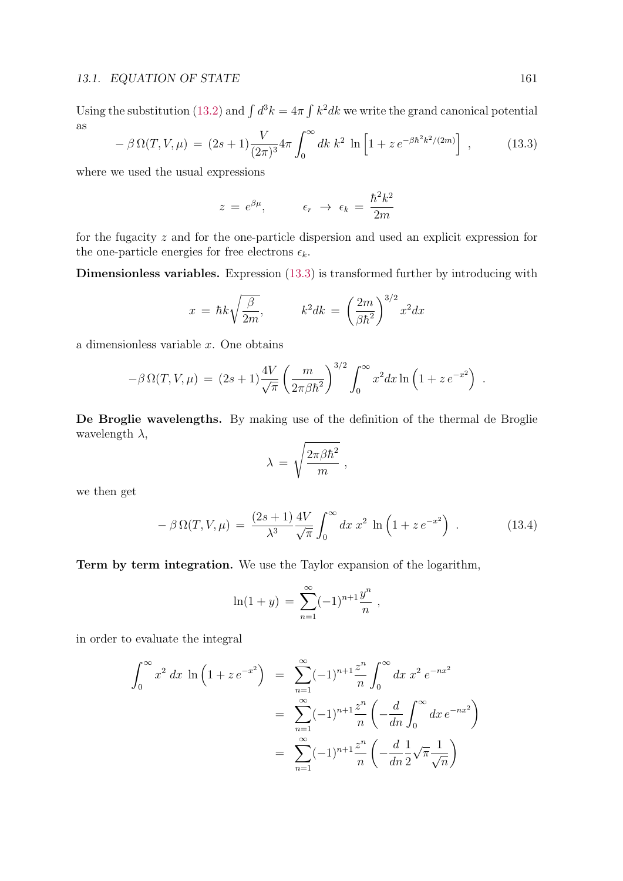Using the substitution (13.2) and  $\int d^3k = 4\pi \int k^2 dk$  we write the grand canonical potential as

$$
-\beta \Omega(T, V, \mu) = (2s+1)\frac{V}{(2\pi)^3} 4\pi \int_0^\infty dk \, k^2 \, \ln\left[1 + z \, e^{-\beta \hbar^2 k^2/(2m)}\right] \,, \tag{13.3}
$$

where we used the usual expressions

$$
z = e^{\beta \mu}, \qquad \epsilon_r \to \epsilon_k = \frac{\hbar^2 k^2}{2m}
$$

for the fugacity z and for the one-particle dispersion and used an explicit expression for the one-particle energies for free electrons  $\epsilon_k$ .

Dimensionless variables. Expression (13.3) is transformed further by introducing with

$$
x = \hbar k \sqrt{\frac{\beta}{2m}}, \qquad k^2 dk = \left(\frac{2m}{\beta \hbar^2}\right)^{3/2} x^2 dx
$$

a dimensionless variable x. One obtains

$$
-\beta \,\Omega(T,V,\mu) \,=\, (2s+1)\frac{4V}{\sqrt{\pi}}\left(\frac{m}{2\pi\beta\hbar^2}\right)^{3/2}\int_0^\infty x^2dx\ln\left(1+z\,e^{-x^2}\right)\;.
$$

De Broglie wavelengths. By making use of the definition of the thermal de Broglie wavelength  $\lambda$ ,

$$
\lambda \, = \, \sqrt{\frac{2 \pi \beta \hbar^2}{m}} \; ,
$$

we then get

$$
-\beta \Omega(T, V, \mu) = \frac{(2s+1)}{\lambda^3} \frac{4V}{\sqrt{\pi}} \int_0^\infty dx \, x^2 \, \ln\left(1 + z \, e^{-x^2}\right) \,. \tag{13.4}
$$

Term by term integration. We use the Taylor expansion of the logarithm,

$$
\ln(1+y) = \sum_{n=1}^{\infty} (-1)^{n+1} \frac{y^n}{n},
$$

in order to evaluate the integral

$$
\int_0^\infty x^2 dx \ln\left(1 + z e^{-x^2}\right) = \sum_{n=1}^\infty (-1)^{n+1} \frac{z^n}{n} \int_0^\infty dx \, x^2 e^{-nx^2}
$$

$$
= \sum_{n=1}^\infty (-1)^{n+1} \frac{z^n}{n} \left(-\frac{d}{dn} \int_0^\infty dx \, e^{-nx^2}\right)
$$

$$
= \sum_{n=1}^\infty (-1)^{n+1} \frac{z^n}{n} \left(-\frac{d}{dn} \frac{1}{2} \sqrt{\pi} \frac{1}{\sqrt{n}}\right)
$$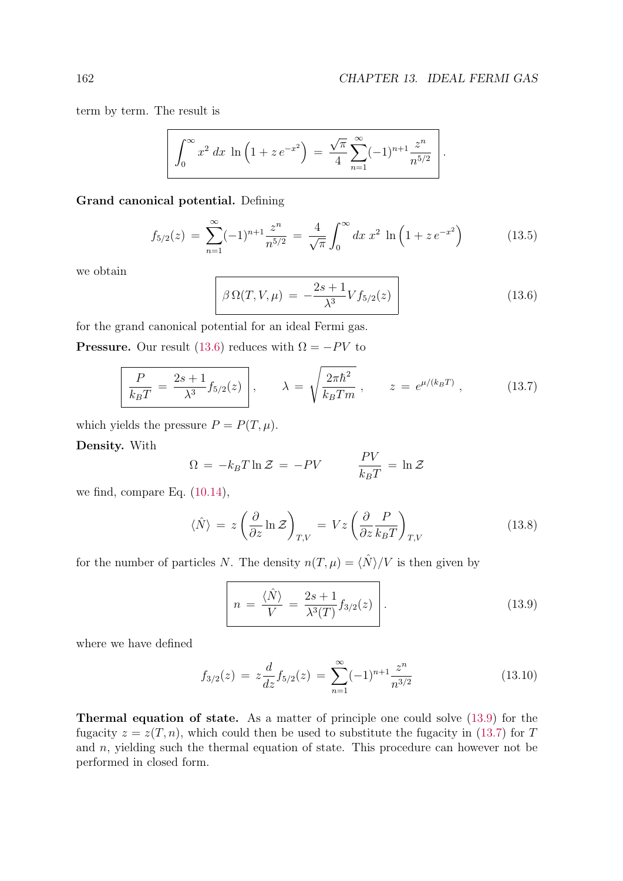term by term. The result is

$$
\int_0^\infty x^2 dx \ln \left( 1 + z e^{-x^2} \right) = \frac{\sqrt{\pi}}{4} \sum_{n=1}^\infty (-1)^{n+1} \frac{z^n}{n^{5/2}}.
$$

#### Grand canonical potential. Defining

$$
f_{5/2}(z) = \sum_{n=1}^{\infty} (-1)^{n+1} \frac{z^n}{n^{5/2}} = \frac{4}{\sqrt{\pi}} \int_0^{\infty} dx \, x^2 \, \ln\left(1 + z \, e^{-x^2}\right) \tag{13.5}
$$

we obtain

$$
\beta \Omega(T, V, \mu) = -\frac{2s + 1}{\lambda^3} V f_{5/2}(z)
$$
\n(13.6)

for the grand canonical potential for an ideal Fermi gas.

**Pressure.** Our result (13.6) reduces with  $\Omega = -PV$  to

$$
\frac{P}{k_B T} = \frac{2s + 1}{\lambda^3} f_{5/2}(z) \,, \qquad \lambda = \sqrt{\frac{2\pi\hbar^2}{k_B T m}} \,, \qquad z = e^{\mu/(k_B T)} \,, \tag{13.7}
$$

which yields the pressure  $P = P(T, \mu)$ .

Density. With

$$
\Omega = -k_B T \ln \mathcal{Z} = -PV \qquad \frac{PV}{k_B T} = \ln \mathcal{Z}
$$

we find, compare Eq. (10.14),

$$
\langle \hat{N} \rangle = z \left( \frac{\partial}{\partial z} \ln \mathcal{Z} \right)_{T,V} = Vz \left( \frac{\partial}{\partial z} \frac{P}{k_B T} \right)_{T,V}
$$
(13.8)

for the number of particles N. The density  $n(T, \mu) = \langle N \rangle / V$  is then given by

$$
n = \frac{\langle \hat{N} \rangle}{V} = \frac{2s+1}{\lambda^3(T)} f_{3/2}(z)
$$
\n(13.9)

where we have defined

$$
f_{3/2}(z) = z \frac{d}{dz} f_{5/2}(z) = \sum_{n=1}^{\infty} (-1)^{n+1} \frac{z^n}{n^{3/2}}
$$
(13.10)

Thermal equation of state. As a matter of principle one could solve (13.9) for the fugacity  $z = z(T, n)$ , which could then be used to substitute the fugacity in (13.7) for T and  $n$ , yielding such the thermal equation of state. This procedure can however not be performed in closed form.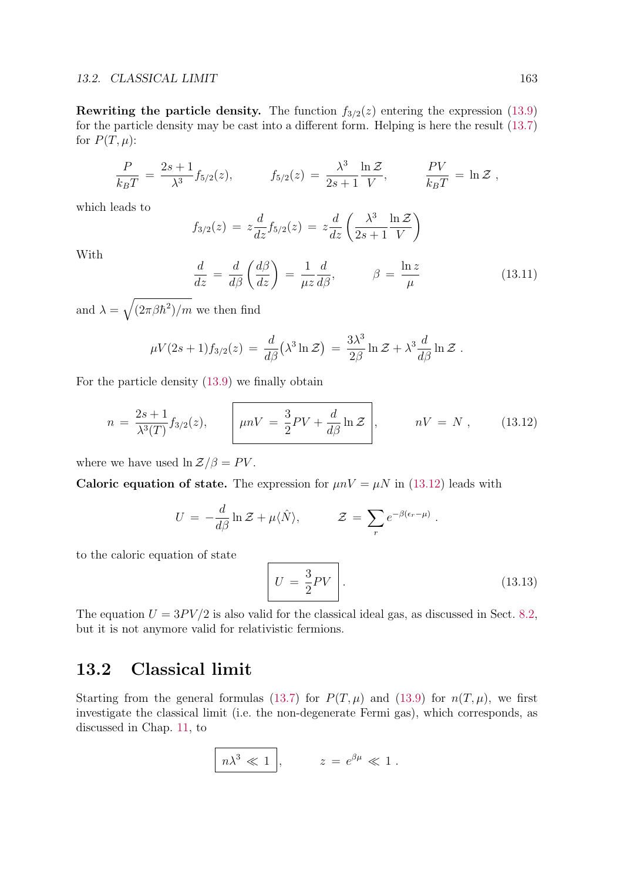Rewriting the particle density. The function  $f_{3/2}(z)$  entering the expression (13.9) for the particle density may be cast into a different form. Helping is here the result (13.7) for  $P(T, \mu)$ :

$$
\frac{P}{k_B T} = \frac{2s+1}{\lambda^3} f_{5/2}(z), \qquad f_{5/2}(z) = \frac{\lambda^3}{2s+1} \frac{\ln \mathcal{Z}}{V}, \qquad \frac{PV}{k_B T} = \ln \mathcal{Z},
$$

which leads to

$$
f_{3/2}(z) = z \frac{d}{dz} f_{5/2}(z) = z \frac{d}{dz} \left( \frac{\lambda^3}{2s+1} \frac{\ln \mathcal{Z}}{V} \right)
$$

With

$$
\frac{d}{dz} = \frac{d}{d\beta} \left( \frac{d\beta}{dz} \right) = \frac{1}{\mu z} \frac{d}{d\beta}, \qquad \beta = \frac{\ln z}{\mu}
$$
\n(13.11)

and  $\lambda = \sqrt{(2\pi\beta\hbar^2)/m}$  we then find

$$
\mu V(2s+1) f_{3/2}(z) = \frac{d}{d\beta} (\lambda^3 \ln \mathcal{Z}) = \frac{3\lambda^3}{2\beta} \ln \mathcal{Z} + \lambda^3 \frac{d}{d\beta} \ln \mathcal{Z}.
$$

For the particle density (13.9) we finally obtain

$$
n = \frac{2s+1}{\lambda^3(T)} f_{3/2}(z), \qquad \left[ \mu n V = \frac{3}{2} PV + \frac{d}{d\beta} \ln \mathcal{Z} \right], \qquad nV = N , \qquad (13.12)
$$

where we have used  $\ln \mathcal{Z}/\beta = PV$ .

Caloric equation of state. The expression for  $\mu nV = \mu N$  in (13.12) leads with

$$
U = -\frac{d}{d\beta} \ln \mathcal{Z} + \mu \langle \hat{N} \rangle, \qquad \mathcal{Z} = \sum_r e^{-\beta(\epsilon_r - \mu)}.
$$

to the caloric equation of state

$$
U = \frac{3}{2}PV \tag{13.13}
$$

The equation  $U = 3PV/2$  is also valid for the classical ideal gas, as discussed in Sect. 8.2, but it is not anymore valid for relativistic fermions.

## 13.2 Classical limit

Starting from the general formulas (13.7) for  $P(T, \mu)$  and (13.9) for  $n(T, \mu)$ , we first investigate the classical limit (i.e. the non-degenerate Fermi gas), which corresponds, as discussed in Chap. 11, to

$$
\boxed{n\lambda^3 \ll 1}, \qquad z = e^{\beta \mu} \ll 1.
$$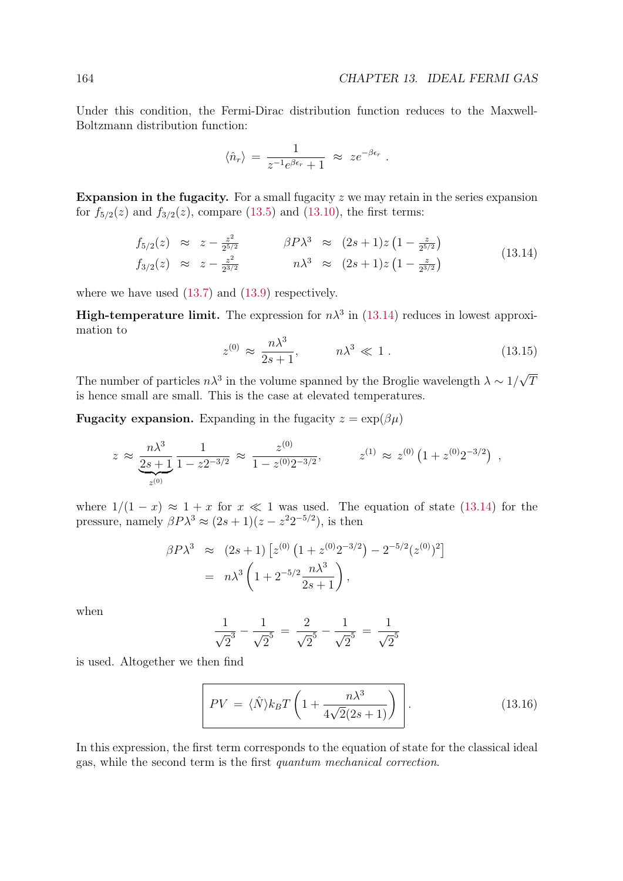Under this condition, the Fermi-Dirac distribution function reduces to the Maxwell-Boltzmann distribution function:

$$
\langle \hat{n}_r \rangle = \frac{1}{z^{-1}e^{\beta \epsilon_r} + 1} \approx z e^{-\beta \epsilon_r} .
$$

Expansion in the fugacity. For a small fugacity  $z$  we may retain in the series expansion for  $f_{5/2}(z)$  and  $f_{3/2}(z)$ , compare (13.5) and (13.10), the first terms:

$$
f_{5/2}(z) \approx z - \frac{z^2}{2^{5/2}} \qquad \beta P \lambda^3 \approx (2s+1)z (1 - \frac{z}{2^{5/2}})
$$
  
\n
$$
f_{3/2}(z) \approx z - \frac{z^2}{2^{3/2}} \qquad n\lambda^3 \approx (2s+1)z (1 - \frac{z}{2^{3/2}})
$$
\n(13.14)

where we have used (13.7) and (13.9) respectively.

**High-temperature limit.** The expression for  $n\lambda^3$  in (13.14) reduces in lowest approximation to

$$
z^{(0)} \approx \frac{n\lambda^3}{2s+1}, \qquad n\lambda^3 \ll 1. \tag{13.15}
$$

The number of particles  $n\lambda^3$  in the volume spanned by the Broglie wavelength  $\lambda \sim 1/\sqrt{T}$ is hence small are small. This is the case at elevated temperatures.

**Fugacity expansion.** Expanding in the fugacity  $z = \exp(\beta \mu)$ 

$$
z \approx \frac{n\lambda^3}{2s+1} \frac{1}{1-z^{2-3/2}} \approx \frac{z^{(0)}}{1-z^{(0)}2^{-3/2}}, \qquad z^{(1)} \approx z^{(0)} \left(1+z^{(0)}2^{-3/2}\right) ,
$$

where  $1/(1-x) \approx 1+x$  for  $x \ll 1$  was used. The equation of state (13.14) for the pressure, namely  $\beta P \lambda^3 \approx (2s+1)(z-z^2 2^{-5/2})$ , is then

$$
\beta P \lambda^3 \approx (2s+1) \left[ z^{(0)} \left( 1 + z^{(0)} 2^{-3/2} \right) - 2^{-5/2} (z^{(0)})^2 \right]
$$
  
=  $n \lambda^3 \left( 1 + 2^{-5/2} \frac{n \lambda^3}{2s+1} \right),$ 

when

$$
\frac{1}{\sqrt{2}^3} - \frac{1}{\sqrt{2}^5} = \frac{2}{\sqrt{2}^5} - \frac{1}{\sqrt{2}^5} = \frac{1}{\sqrt{2}^5}
$$

is used. Altogether we then find

$$
PV = \langle \hat{N} \rangle k_B T \left( 1 + \frac{n \lambda^3}{4\sqrt{2}(2s+1)} \right) \tag{13.16}
$$

In this expression, the first term corresponds to the equation of state for the classical ideal gas, while the second term is the first quantum mechanical correction.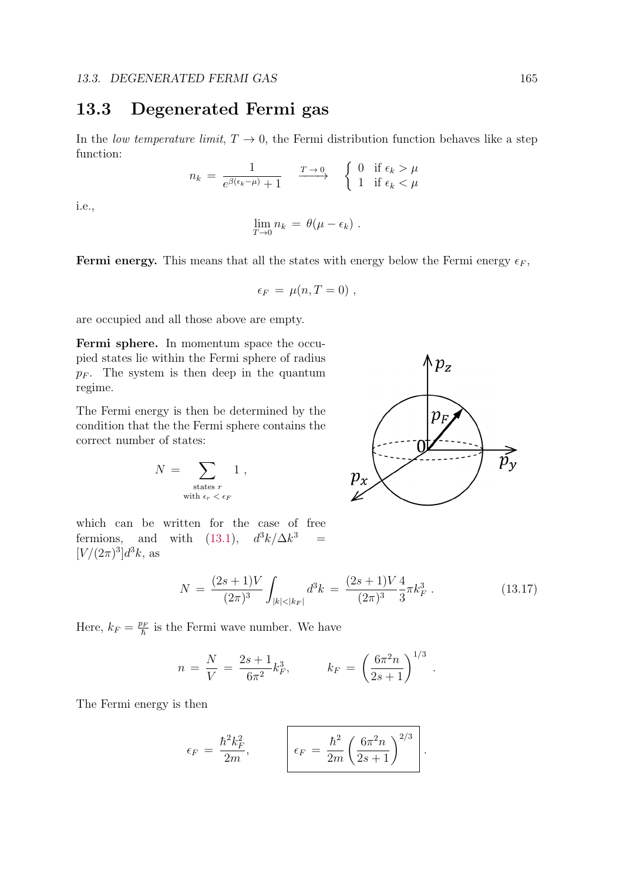## 13.3 Degenerated Fermi gas

In the *low temperature limit*,  $T \to 0$ , the Fermi distribution function behaves like a step function:

$$
n_k = \frac{1}{e^{\beta(\epsilon_k - \mu)} + 1} \xrightarrow{T \to 0} \begin{cases} 0 & \text{if } \epsilon_k > \mu \\ 1 & \text{if } \epsilon_k < \mu \end{cases}
$$

i.e.,

$$
\lim_{T\to 0} n_k = \theta(\mu - \epsilon_k) .
$$

**Fermi energy.** This means that all the states with energy below the Fermi energy  $\epsilon_F$ ,

$$
\epsilon_F = \mu(n, T = 0) ,
$$

are occupied and all those above are empty.

Fermi sphere. In momentum space the occupied states lie within the Fermi sphere of radius  $p_F$ . The system is then deep in the quantum regime.

The Fermi energy is then be determined by the condition that the the Fermi sphere contains the correct number of states:

$$
N \; = \; \sum_{\substack{\text{states } r \\ \text{with } \epsilon_r \; < \; \epsilon_F}} 1 \; ,
$$

which can be written for the case of free fermions, and with (13.1),  $d^3k/\Delta k^3$  =  $[V/(2\pi)^3]d^3k$ , as



$$
N = \frac{(2s+1)V}{(2\pi)^3} \int_{|k| < |k_F|} d^3k = \frac{(2s+1)V}{(2\pi)^3} \frac{4}{3} \pi k_F^3 \,. \tag{13.17}
$$

Here,  $k_F = \frac{p_F}{\hbar}$  is the Fermi wave number. We have

$$
n = \frac{N}{V} = \frac{2s+1}{6\pi^2} k_F^3, \qquad k_F = \left(\frac{6\pi^2 n}{2s+1}\right)^{1/3}.
$$

The Fermi energy is then

$$
\epsilon_F = \frac{\hbar^2 k_F^2}{2m}, \qquad \epsilon_F = \frac{\hbar^2}{2m} \left( \frac{6\pi^2 n}{2s+1} \right)^{2/3}.
$$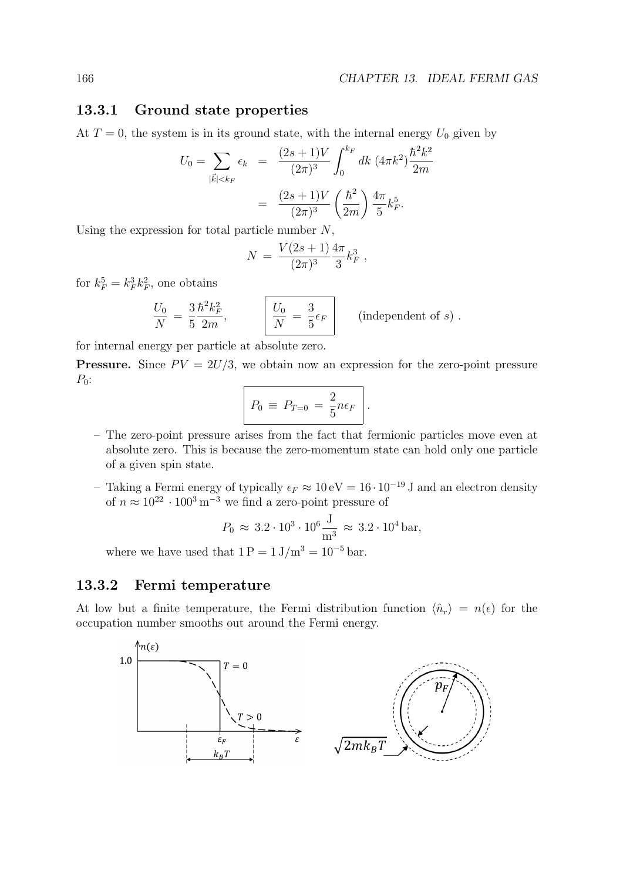#### 13.3.1 Ground state properties

At  $T = 0$ , the system is in its ground state, with the internal energy  $U_0$  given by

$$
U_0 = \sum_{|\vec{k}| < k_F} \epsilon_k = \frac{(2s+1)V}{(2\pi)^3} \int_0^{k_F} dk \ (4\pi k^2) \frac{\hbar^2 k^2}{2m}
$$

$$
= \frac{(2s+1)V}{(2\pi)^3} \left(\frac{\hbar^2}{2m}\right) \frac{4\pi}{5} k_F^5.
$$

Using the expression for total particle number  $N$ ,

$$
N = \frac{V(2s+1)}{(2\pi)^3} \frac{4\pi}{3} k_F^3 ,
$$

for  $k_F^5 = k_F^3 k_F^2$ , one obtains

$$
\frac{U_0}{N} = \frac{3}{5} \frac{\hbar^2 k_F^2}{2m}, \qquad \boxed{\frac{U_0}{N} = \frac{3}{5} \epsilon_F}
$$
 (independent of s).

for internal energy per particle at absolute zero.

**Pressure.** Since  $PV = 2U/3$ , we obtain now an expression for the zero-point pressure  $P_0$ :

$$
P_0 \equiv P_{T=0} = \frac{2}{5} n \epsilon_F.
$$

- The zero-point pressure arises from the fact that fermionic particles move even at absolute zero. This is because the zero-momentum state can hold only one particle of a given spin state.
- Taking a Fermi energy of typically  $\epsilon_F \approx 10 \text{ eV} = 16 \cdot 10^{-19} \text{ J}$  and an electron density of  $n \approx 10^{22} \cdot 100^3 \,\mathrm{m}^{-3}$  we find a zero-point pressure of

$$
P_0 \approx 3.2 \cdot 10^3 \cdot 10^6 \frac{\text{J}}{\text{m}^3} \approx 3.2 \cdot 10^4 \text{ bar},
$$

where we have used that  $1 P = 1 J/m^3 = 10^{-5}$  bar.

#### 13.3.2 Fermi temperature

At low but a finite temperature, the Fermi distribution function  $\langle \hat{n}_r \rangle = n(\epsilon)$  for the occupation number smooths out around the Fermi energy.

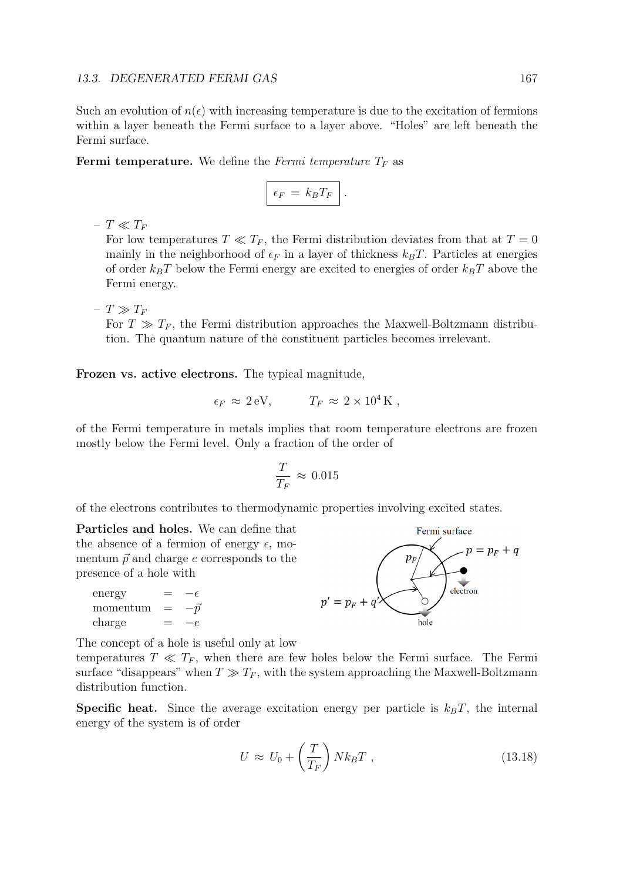Such an evolution of  $n(\epsilon)$  with increasing temperature is due to the excitation of fermions within a layer beneath the Fermi surface to a layer above. "Holes" are left beneath the Fermi surface.

**Fermi temperature.** We define the Fermi temperature  $T_F$  as

$$
\epsilon_F = k_B T_F
$$
.

–  $T \ll T_F$ 

For low temperatures  $T \ll T_F$ , the Fermi distribution deviates from that at  $T = 0$ mainly in the neighborhood of  $\epsilon_F$  in a layer of thickness  $k_BT$ . Particles at energies of order  $k_BT$  below the Fermi energy are excited to energies of order  $k_BT$  above the Fermi energy.

–  $T \gg T_F$ 

For  $T \gg T_F$ , the Fermi distribution approaches the Maxwell-Boltzmann distribution. The quantum nature of the constituent particles becomes irrelevant.

Frozen vs. active electrons. The typical magnitude,

$$
\epsilon_F \approx 2 \,\text{eV}, \qquad T_F \approx 2 \times 10^4 \,\text{K} \ ,
$$

of the Fermi temperature in metals implies that room temperature electrons are frozen mostly below the Fermi level. Only a fraction of the order of

$$
\frac{T}{T_F} \approx 0.015
$$

of the electrons contributes to thermodynamic properties involving excited states.

Particles and holes. We can define that the absence of a fermion of energy  $\epsilon$ , momentum  $\vec{p}$  and charge e corresponds to the presence of a hole with

energy =  $-\epsilon$ <br>momentum =  $-\vec{p}$ momentum =  $-\bar{p}$ <br>charge =  $-e$  $charge$ 



The concept of a hole is useful only at low

temperatures  $T \ll T_F$ , when there are few holes below the Fermi surface. The Fermi surface "disappears" when  $T \gg T_F$ , with the system approaching the Maxwell-Boltzmann distribution function.

**Specific heat.** Since the average excitation energy per particle is  $k_B T$ , the internal energy of the system is of order

$$
U \approx U_0 + \left(\frac{T}{T_F}\right) N k_B T \,, \tag{13.18}
$$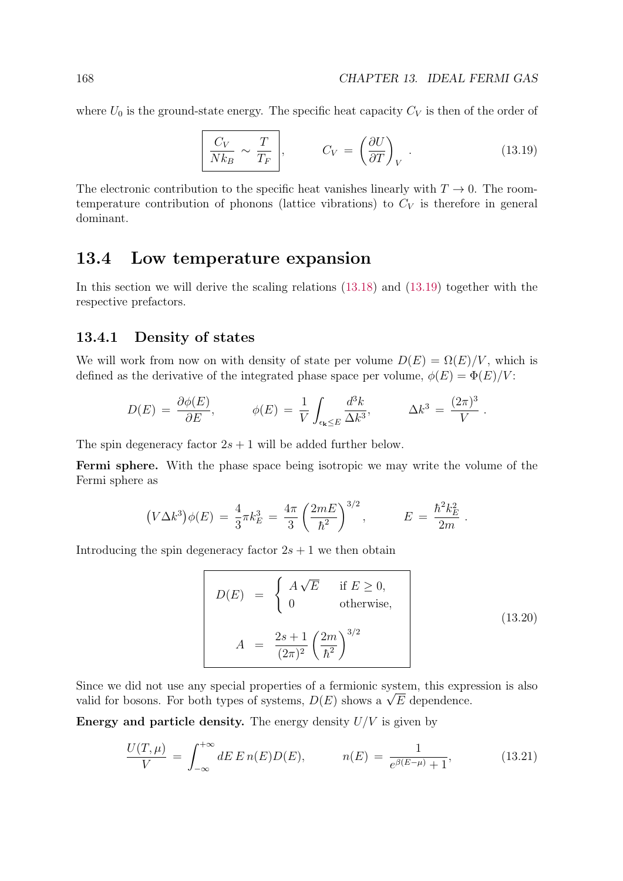where  $U_0$  is the ground-state energy. The specific heat capacity  $C_V$  is then of the order of

$$
\left(\frac{C_V}{Nk_B} \sim \frac{T}{T_F}\right), \qquad C_V = \left(\frac{\partial U}{\partial T}\right)_V.
$$
 (13.19)

The electronic contribution to the specific heat vanishes linearly with  $T \to 0$ . The roomtemperature contribution of phonons (lattice vibrations) to  $C_V$  is therefore in general dominant.

## 13.4 Low temperature expansion

In this section we will derive the scaling relations (13.18) and (13.19) together with the respective prefactors.

#### 13.4.1 Density of states

We will work from now on with density of state per volume  $D(E) = \Omega(E)/V$ , which is defined as the derivative of the integrated phase space per volume,  $\phi(E) = \Phi(E)/V$ :

$$
D(E) = \frac{\partial \phi(E)}{\partial E}, \qquad \phi(E) = \frac{1}{V} \int_{\epsilon_{\mathbf{k}} \le E} \frac{d^3 k}{\Delta k^3}, \qquad \Delta k^3 = \frac{(2\pi)^3}{V}.
$$

The spin degeneracy factor  $2s + 1$  will be added further below.

Fermi sphere. With the phase space being isotropic we may write the volume of the Fermi sphere as

$$
(V\Delta k^3)\phi(E) = \frac{4}{3}\pi k_E^3 = \frac{4\pi}{3}\left(\frac{2mE}{\hbar^2}\right)^{3/2}, \qquad E = \frac{\hbar^2 k_E^2}{2m}.
$$

Introducing the spin degeneracy factor  $2s + 1$  we then obtain

$$
D(E) = \begin{cases} A\sqrt{E} & \text{if } E \ge 0, \\ 0 & \text{otherwise,} \end{cases}
$$
  

$$
A = \frac{2s+1}{(2\pi)^2} \left(\frac{2m}{\hbar^2}\right)^{3/2}
$$
 (13.20)

Since we did not use any special properties of a fermionic system, this expression is also valid for bosons. For both types of systems,  $D(E)$  shows a  $\sqrt{E}$  dependence.

Energy and particle density. The energy density  $U/V$  is given by

$$
\frac{U(T,\mu)}{V} = \int_{-\infty}^{+\infty} dE E n(E) D(E), \qquad n(E) = \frac{1}{e^{\beta(E-\mu)} + 1}, \qquad (13.21)
$$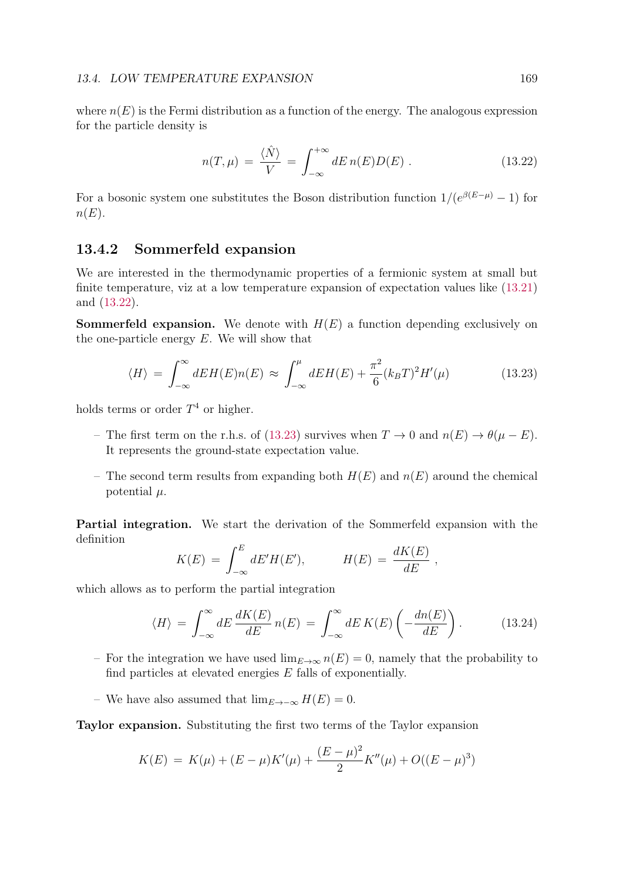where  $n(E)$  is the Fermi distribution as a function of the energy. The analogous expression for the particle density is

$$
n(T,\mu) = \frac{\langle \hat{N} \rangle}{V} = \int_{-\infty}^{+\infty} dE \, n(E) D(E) \,. \tag{13.22}
$$

For a bosonic system one substitutes the Boson distribution function  $1/(e^{\beta(E-\mu)}-1)$  for  $n(E)$ .

### 13.4.2 Sommerfeld expansion

We are interested in the thermodynamic properties of a fermionic system at small but finite temperature, viz at a low temperature expansion of expectation values like (13.21) and (13.22).

**Sommerfeld expansion.** We denote with  $H(E)$  a function depending exclusively on the one-particle energy  $E$ . We will show that

$$
\langle H \rangle = \int_{-\infty}^{\infty} dE H(E) n(E) \approx \int_{-\infty}^{\mu} dE H(E) + \frac{\pi^2}{6} (k_B T)^2 H'(\mu) \tag{13.23}
$$

holds terms or order  $T<sup>4</sup>$  or higher.

- The first term on the r.h.s. of (13.23) survives when  $T \to 0$  and  $n(E) \to \theta(\mu E)$ . It represents the ground-state expectation value.
- The second term results from expanding both  $H(E)$  and  $n(E)$  around the chemical potential  $\mu$ .

Partial integration. We start the derivation of the Sommerfeld expansion with the definition

$$
K(E) = \int_{-\infty}^{E} dE' H(E'), \qquad H(E) = \frac{dK(E)}{dE} ,
$$

which allows as to perform the partial integration

$$
\langle H \rangle = \int_{-\infty}^{\infty} dE \frac{dK(E)}{dE} n(E) = \int_{-\infty}^{\infty} dE K(E) \left( -\frac{dn(E)}{dE} \right). \tag{13.24}
$$

- For the integration we have used  $\lim_{E\to\infty} n(E) = 0$ , namely that the probability to find particles at elevated energies  $E$  falls of exponentially.
- We have also assumed that  $\lim_{E\to-\infty} H(E) = 0$ .

Taylor expansion. Substituting the first two terms of the Taylor expansion

$$
K(E) = K(\mu) + (E - \mu)K'(\mu) + \frac{(E - \mu)^2}{2}K''(\mu) + O((E - \mu)^3)
$$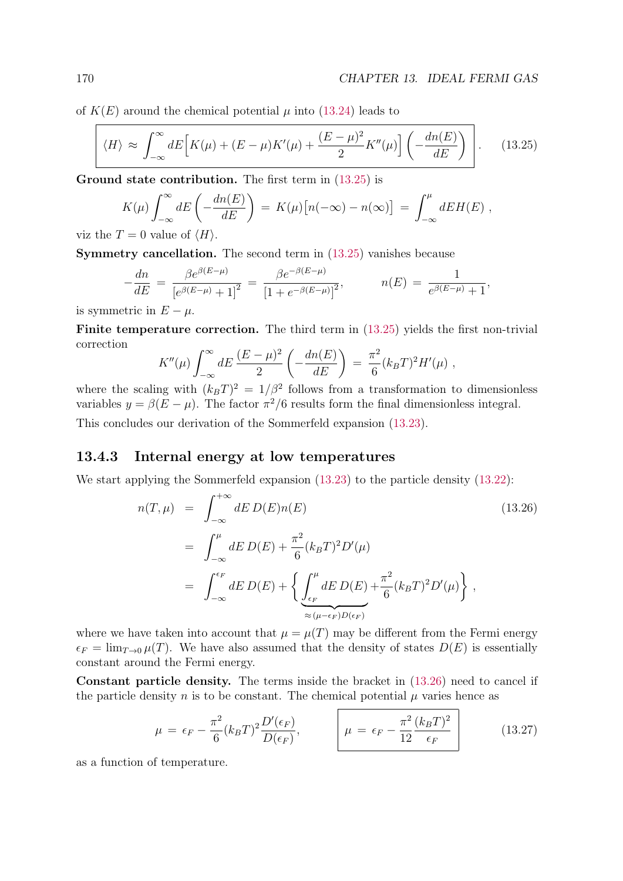of  $K(E)$  around the chemical potential  $\mu$  into (13.24) leads to

$$
\langle H \rangle \approx \int_{-\infty}^{\infty} dE \Big[ K(\mu) + (E - \mu) K'(\mu) + \frac{(E - \mu)^2}{2} K''(\mu) \Big] \left( -\frac{dn(E)}{dE} \right) \Bigg]. \tag{13.25}
$$

Ground state contribution. The first term in  $(13.25)$  is

$$
K(\mu) \int_{-\infty}^{\infty} dE \left( -\frac{dn(E)}{dE} \right) = K(\mu) [n(-\infty) - n(\infty)] = \int_{-\infty}^{\mu} dE H(E) ,
$$
  
Then,  $\Gamma = 0$  values of  $\langle H \rangle$ 

viz the  $T = 0$  value of  $\langle H \rangle$ .

Symmetry cancellation. The second term in (13.25) vanishes because

$$
-\frac{dn}{dE} = \frac{\beta e^{\beta(E-\mu)}}{\left[e^{\beta(E-\mu)} + 1\right]^2} = \frac{\beta e^{-\beta(E-\mu)}}{\left[1 + e^{-\beta(E-\mu)}\right]^2}, \qquad n(E) = \frac{1}{e^{\beta(E-\mu)} + 1},
$$

is symmetric in  $E - \mu$ .

Finite temperature correction. The third term in  $(13.25)$  yields the first non-trivial correction **Alberta** 

$$
K''(\mu) \int_{-\infty}^{\infty} dE \, \frac{(E - \mu)^2}{2} \left( -\frac{dn(E)}{dE} \right) \, = \, \frac{\pi^2}{6} (k_B T)^2 H'(\mu) \, ,
$$

where the scaling with  $(k_BT)^2 = 1/\beta^2$  follows from a transformation to dimensionless variables  $y = \beta(E - \mu)$ . The factor  $\pi^2/6$  results form the final dimensionless integral. This concludes our derivation of the Sommerfeld expansion (13.23).

### 13.4.3 Internal energy at low temperatures

We start applying the Sommerfeld expansion  $(13.23)$  to the particle density  $(13.22)$ :

$$
n(T,\mu) = \int_{-\infty}^{+\infty} dE D(E)n(E)
$$
\n
$$
= \int_{-\infty}^{\mu} dE D(E) + \frac{\pi^2}{6} (k_B T)^2 D'(\mu)
$$
\n
$$
= \int_{-\infty}^{\epsilon_F} dE D(E) + \left\{ \int_{\epsilon_F}^{\mu} dE D(E) + \frac{\pi^2}{6} (k_B T)^2 D'(\mu) \right\},
$$
\n(13.26)

where we have taken into account that  $\mu = \mu(T)$  may be different from the Fermi energy  $\epsilon_F = \lim_{T\to 0} \mu(T)$ . We have also assumed that the density of states  $D(E)$  is essentially constant around the Fermi energy.

Constant particle density. The terms inside the bracket in (13.26) need to cancel if the particle density n is to be constant. The chemical potential  $\mu$  varies hence as

$$
\mu = \epsilon_F - \frac{\pi^2}{6} (k_B T)^2 \frac{D'(\epsilon_F)}{D(\epsilon_F)}, \qquad \mu = \epsilon_F - \frac{\pi^2}{12} \frac{(k_B T)^2}{\epsilon_F} \qquad (13.27)
$$

as a function of temperature.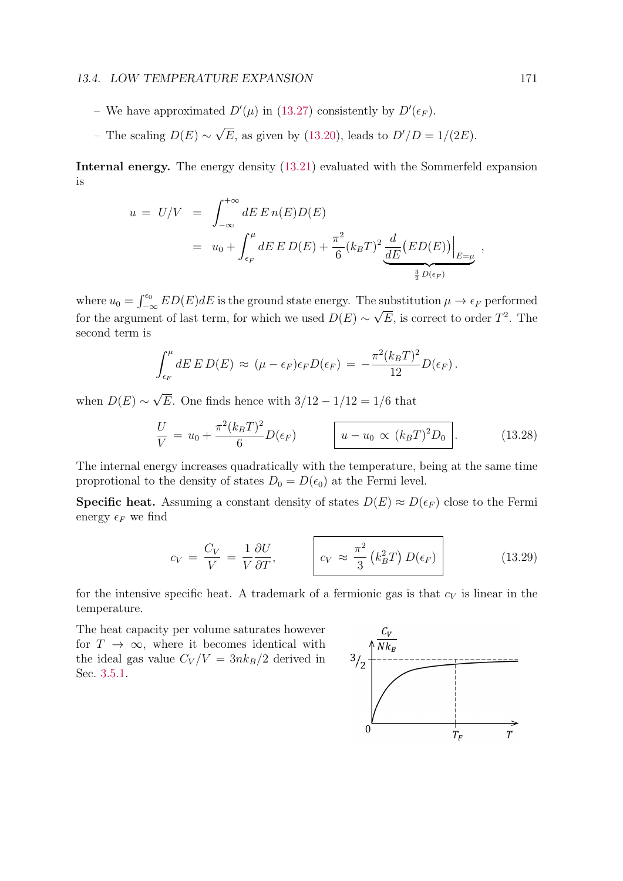#### 13.4. LOW TEMPERATURE EXPANSION 171

- We have approximated  $D'(\mu)$  in (13.27) consistently by  $D'(\epsilon_F)$ .
- The scaling  $D(E) \sim \sqrt{E}$ , as given by (13.20), leads to  $D'/D = 1/(2E)$ .

Internal energy. The energy density (13.21) evaluated with the Sommerfeld expansion is

$$
u = U/V = \int_{-\infty}^{+\infty} dE E n(E) D(E)
$$
  
=  $u_0 + \int_{\epsilon_F}^{\mu} dE E D(E) + \frac{\pi^2}{6} (k_B T)^2 \underbrace{\frac{d}{dE} (ED(E))}_{\frac{3}{2} D(\epsilon_F)},$ 

where  $u_0 = \int_{-\infty}^{\epsilon_0} ED(E)dE$  is the ground state energy. The substitution  $\mu \to \epsilon_F$  performed for the argument of last term, for which we used  $D(E) \sim \sqrt{E}$ , is correct to order  $T^2$ . The second term is

$$
\int_{\epsilon_F}^{\mu} dE E D(E) \approx (\mu - \epsilon_F) \epsilon_F D(\epsilon_F) = -\frac{\pi^2 (k_B T)^2}{12} D(\epsilon_F).
$$

when  $D(E) \sim \sqrt{E}$ . One finds hence with  $3/12 - 1/12 = 1/6$  that

$$
\frac{U}{V} = u_0 + \frac{\pi^2 (k_B T)^2}{6} D(\epsilon_F) \qquad \boxed{u - u_0 \propto (k_B T)^2 D_0}.
$$
 (13.28)

The internal energy increases quadratically with the temperature, being at the same time proprotional to the density of states  $D_0 = D(\epsilon_0)$  at the Fermi level.

**Specific heat.** Assuming a constant density of states  $D(E) \approx D(\epsilon_F)$  close to the Fermi energy  $\epsilon_F$  we find

$$
c_V = \frac{C_V}{V} = \frac{1}{V} \frac{\partial U}{\partial T}, \qquad \qquad c_V \approx \frac{\pi^2}{3} \left( k_B^2 T \right) D(\epsilon_F) \qquad (13.29)
$$

for the intensive specific heat. A trademark of a fermionic gas is that  $c_V$  is linear in the temperature.

The heat capacity per volume saturates however for  $T \to \infty$ , where it becomes identical with the ideal gas value  $C_V/V = 3nk_B/2$  derived in Sec. 3.5.1.